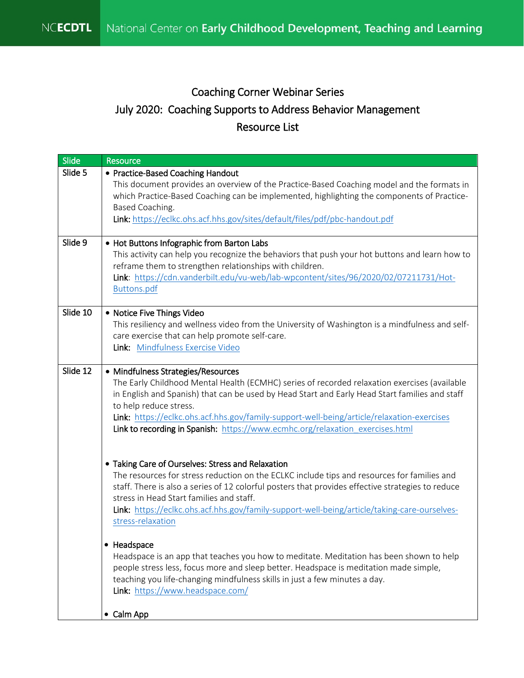## July 2020: Coaching Supports to Address Behavior Management Coaching Corner Webinar Series Resource List

| Slide    | Resource                                                                                                                                                                                                                                                                                                                                                                                                                                      |
|----------|-----------------------------------------------------------------------------------------------------------------------------------------------------------------------------------------------------------------------------------------------------------------------------------------------------------------------------------------------------------------------------------------------------------------------------------------------|
| Slide 5  | • Practice-Based Coaching Handout<br>This document provides an overview of the Practice-Based Coaching model and the formats in<br>which Practice-Based Coaching can be implemented, highlighting the components of Practice-<br>Based Coaching.<br>Link: https://eclkc.ohs.acf.hhs.gov/sites/default/files/pdf/pbc-handout.pdf                                                                                                               |
| Slide 9  | • Hot Buttons Infographic from Barton Labs<br>This activity can help you recognize the behaviors that push your hot buttons and learn how to<br>reframe them to strengthen relationships with children.<br>Link: https://cdn.vanderbilt.edu/vu-web/lab-wpcontent/sites/96/2020/02/07211731/Hot-<br>Buttons.pdf                                                                                                                                |
| Slide 10 | • Notice Five Things Video<br>This resiliency and wellness video from the University of Washington is a mindfulness and self-<br>care exercise that can help promote self-care.<br>Link: Mindfulness Exercise Video                                                                                                                                                                                                                           |
| Slide 12 | • Mindfulness Strategies/Resources<br>The Early Childhood Mental Health (ECMHC) series of recorded relaxation exercises (available<br>in English and Spanish) that can be used by Head Start and Early Head Start families and staff<br>to help reduce stress.<br>Link: https://eclkc.ohs.acf.hhs.gov/family-support-well-being/article/relaxation-exercises<br>Link to recording in Spanish: https://www.ecmhc.org/relaxation_exercises.html |
|          | • Taking Care of Ourselves: Stress and Relaxation<br>The resources for stress reduction on the ECLKC include tips and resources for families and<br>staff. There is also a series of 12 colorful posters that provides effective strategies to reduce<br>stress in Head Start families and staff.<br>Link: https://eclkc.ohs.acf.hhs.gov/family-support-well-being/article/taking-care-ourselves-<br>stress-relaxation                        |
|          | • Headspace<br>Headspace is an app that teaches you how to meditate. Meditation has been shown to help<br>people stress less, focus more and sleep better. Headspace is meditation made simple,<br>teaching you life-changing mindfulness skills in just a few minutes a day.<br>Link: https://www.headspace.com/                                                                                                                             |
|          | • Calm App                                                                                                                                                                                                                                                                                                                                                                                                                                    |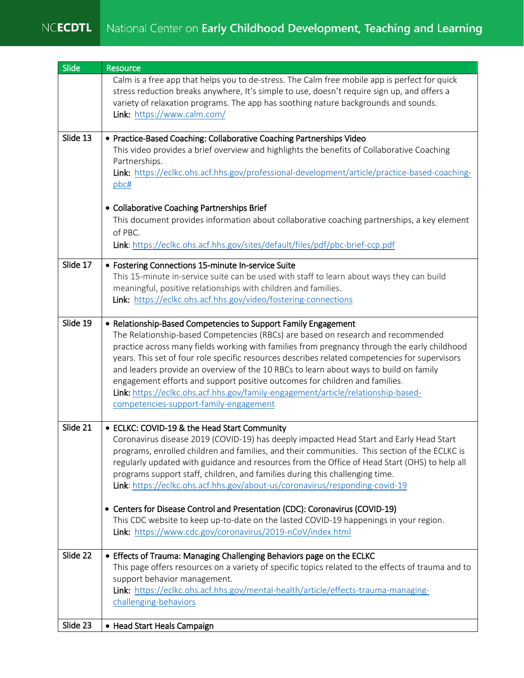## NCECDTL National Center on Early Childhood Development, Teaching and Learning

| Slide    | Resource                                                                                                                                                                                                                                                                                                                                                                                                                                                                                                                                                                                                                                                                                                                                         |
|----------|--------------------------------------------------------------------------------------------------------------------------------------------------------------------------------------------------------------------------------------------------------------------------------------------------------------------------------------------------------------------------------------------------------------------------------------------------------------------------------------------------------------------------------------------------------------------------------------------------------------------------------------------------------------------------------------------------------------------------------------------------|
|          | Calm is a free app that helps you to de-stress. The Calm free mobile app is perfect for quick<br>stress reduction breaks anywhere, It's simple to use, doesn't require sign up, and offers a<br>variety of relaxation programs. The app has soothing nature backgrounds and sounds.<br>Link: https://www.calm.com/                                                                                                                                                                                                                                                                                                                                                                                                                               |
| Slide 13 | • Practice-Based Coaching: Collaborative Coaching Partnerships Video<br>This video provides a brief overview and highlights the benefits of Collaborative Coaching<br>Partnerships.<br>Link: https://eclkc.ohs.acf.hhs.gov/professional-development/article/practice-based-coaching-<br>pbc#                                                                                                                                                                                                                                                                                                                                                                                                                                                     |
|          | • Collaborative Coaching Partnerships Brief<br>This document provides information about collaborative coaching partnerships, a key element<br>of PBC.<br>Link: https://eclkc.ohs.acf.hhs.gov/sites/default/files/pdf/pbc-brief-ccp.pdf                                                                                                                                                                                                                                                                                                                                                                                                                                                                                                           |
| Slide 17 | • Fostering Connections 15-minute In-service Suite<br>This 15-minute in-service suite can be used with staff to learn about ways they can build<br>meaningful, positive relationships with children and families.<br>Link: https://eclkc.ohs.acf.hhs.gov/video/fostering-connections                                                                                                                                                                                                                                                                                                                                                                                                                                                             |
| Slide 19 | • Relationship-Based Competencies to Support Family Engagement<br>The Relationship-based Competencies (RBCs) are based on research and recommended<br>practice across many fields working with families from pregnancy through the early childhood<br>years. This set of four role specific resources describes related competencies for supervisors<br>and leaders provide an overview of the 10 RBCs to learn about ways to build on family<br>engagement efforts and support positive outcomes for children and families.<br>Link: https://eclkc.ohs.acf.hhs.gov/family-engagement/article/relationship-based-<br>competencies-support-family-engagement                                                                                      |
| Slide 21 | • ECLKC: COVID-19 & the Head Start Community<br>Coronavirus disease 2019 (COVID-19) has deeply impacted Head Start and Early Head Start<br>programs, enrolled children and families, and their communities. This section of the ECLKC is<br>regularly updated with guidance and resources from the Office of Head Start (OHS) to help all<br>programs support staff, children, and families during this challenging time.<br>Link: https://eclkc.ohs.acf.hhs.gov/about-us/coronavirus/responding-covid-19<br>• Centers for Disease Control and Presentation (CDC): Coronavirus (COVID-19)<br>This CDC website to keep up-to-date on the lasted COVID-19 happenings in your region.<br>Link: https://www.cdc.gov/coronavirus/2019-nCoV/index.html |
| Slide 22 | • Effects of Trauma: Managing Challenging Behaviors page on the ECLKC<br>This page offers resources on a variety of specific topics related to the effects of trauma and to<br>support behavior management.<br>Link: https://eclkc.ohs.acf.hhs.gov/mental-health/article/effects-trauma-managing-<br>challenging-behaviors                                                                                                                                                                                                                                                                                                                                                                                                                       |
| Slide 23 | • Head Start Heals Campaign                                                                                                                                                                                                                                                                                                                                                                                                                                                                                                                                                                                                                                                                                                                      |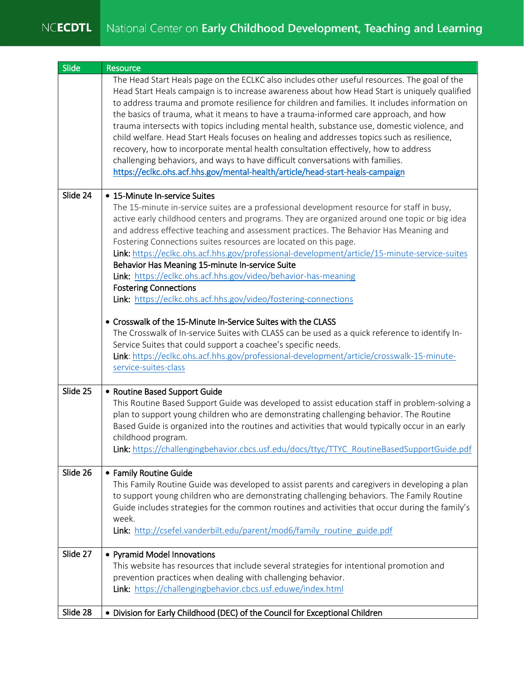## NCECDTL National Center on Early Childhood Development, Teaching and Learning

| Slide    | Resource                                                                                                                                                                                                                                                                                                                                                                                                                                                                                                                                                                                                                                                                                                                                                                                                                                                                                                                                                                                                                                  |
|----------|-------------------------------------------------------------------------------------------------------------------------------------------------------------------------------------------------------------------------------------------------------------------------------------------------------------------------------------------------------------------------------------------------------------------------------------------------------------------------------------------------------------------------------------------------------------------------------------------------------------------------------------------------------------------------------------------------------------------------------------------------------------------------------------------------------------------------------------------------------------------------------------------------------------------------------------------------------------------------------------------------------------------------------------------|
|          | The Head Start Heals page on the ECLKC also includes other useful resources. The goal of the<br>Head Start Heals campaign is to increase awareness about how Head Start is uniquely qualified<br>to address trauma and promote resilience for children and families. It includes information on<br>the basics of trauma, what it means to have a trauma-informed care approach, and how<br>trauma intersects with topics including mental health, substance use, domestic violence, and<br>child welfare. Head Start Heals focuses on healing and addresses topics such as resilience,<br>recovery, how to incorporate mental health consultation effectively, how to address<br>challenging behaviors, and ways to have difficult conversations with families.<br>https://eclkc.ohs.acf.hhs.gov/mental-health/article/head-start-heals-campaign                                                                                                                                                                                          |
| Slide 24 | • 15-Minute In-service Suites                                                                                                                                                                                                                                                                                                                                                                                                                                                                                                                                                                                                                                                                                                                                                                                                                                                                                                                                                                                                             |
|          | The 15-minute in-service suites are a professional development resource for staff in busy,<br>active early childhood centers and programs. They are organized around one topic or big idea<br>and address effective teaching and assessment practices. The Behavior Has Meaning and<br>Fostering Connections suites resources are located on this page.<br>Link: https://eclkc.ohs.acf.hhs.gov/professional-development/article/15-minute-service-suites<br>Behavior Has Meaning 15-minute In-service Suite<br>Link: https://eclkc.ohs.acf.hhs.gov/video/behavior-has-meaning<br><b>Fostering Connections</b><br>Link: https://eclkc.ohs.acf.hhs.gov/video/fostering-connections<br>• Crosswalk of the 15-Minute In-Service Suites with the CLASS<br>The Crosswalk of In-service Suites with CLASS can be used as a quick reference to identify In-<br>Service Suites that could support a coachee's specific needs.<br>Link: https://eclkc.ohs.acf.hhs.gov/professional-development/article/crosswalk-15-minute-<br>service-suites-class |
| Slide 25 | • Routine Based Support Guide                                                                                                                                                                                                                                                                                                                                                                                                                                                                                                                                                                                                                                                                                                                                                                                                                                                                                                                                                                                                             |
|          | This Routine Based Support Guide was developed to assist education staff in problem-solving a<br>plan to support young children who are demonstrating challenging behavior. The Routine<br>Based Guide is organized into the routines and activities that would typically occur in an early<br>childhood program.<br>Link: https://challengingbehavior.cbcs.usf.edu/docs/ttyc/TTYC_RoutineBasedSupportGuide.pdf                                                                                                                                                                                                                                                                                                                                                                                                                                                                                                                                                                                                                           |
| Slide 26 | • Family Routine Guide<br>This Family Routine Guide was developed to assist parents and caregivers in developing a plan<br>to support young children who are demonstrating challenging behaviors. The Family Routine<br>Guide includes strategies for the common routines and activities that occur during the family's<br>week.<br>Link: http://csefel.vanderbilt.edu/parent/mod6/family routine guide.pdf                                                                                                                                                                                                                                                                                                                                                                                                                                                                                                                                                                                                                               |
| Slide 27 | • Pyramid Model Innovations<br>This website has resources that include several strategies for intentional promotion and<br>prevention practices when dealing with challenging behavior.<br>Link: https://challengingbehavior.cbcs.usf.eduwe/index.html                                                                                                                                                                                                                                                                                                                                                                                                                                                                                                                                                                                                                                                                                                                                                                                    |
| Slide 28 | • Division for Early Childhood (DEC) of the Council for Exceptional Children                                                                                                                                                                                                                                                                                                                                                                                                                                                                                                                                                                                                                                                                                                                                                                                                                                                                                                                                                              |